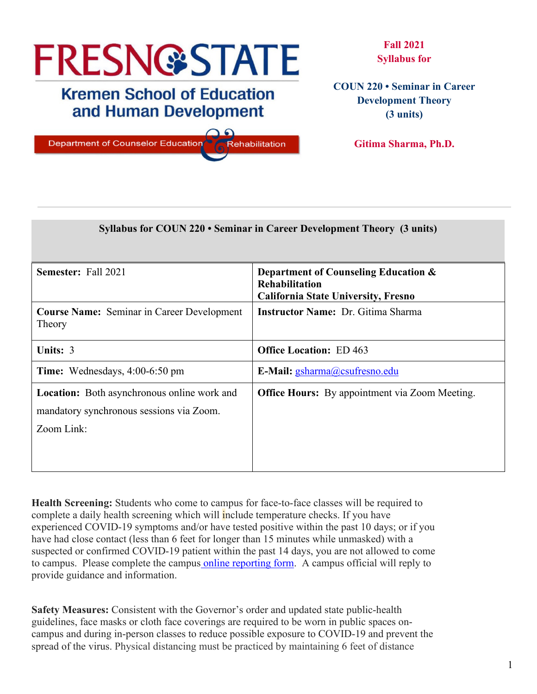# **FRESN@STATE**

# **Kremen School of Education** and Human Development

 $\Omega$ 

**Department of Counselor Education** Rehabilitation

**Fall 2021 Syllabus for**

**COUN 220 • Seminar in Career Development Theory (3 units)**

**Gitima Sharma, Ph.D.**

|                                                             | Syllabus for COUN 220 • Seminar in Career Development Theory (3 units) |
|-------------------------------------------------------------|------------------------------------------------------------------------|
|                                                             |                                                                        |
| <b>Semester:</b> Fall 2021                                  | Department of Counseling Education &                                   |
|                                                             | <b>Rehabilitation</b><br><b>California State University, Fresno</b>    |
| <b>Course Name:</b> Seminar in Career Development<br>Theory | <b>Instructor Name: Dr. Gitima Sharma</b>                              |
| Units: 3                                                    | <b>Office Location: ED 463</b>                                         |
| <b>Time:</b> Wednesdays, $4:00-6:50$ pm                     | E-Mail: gsharma@csufresno.edu                                          |
| <b>Location:</b> Both asynchronous online work and          | <b>Office Hours:</b> By appointment via Zoom Meeting.                  |
| mandatory synchronous sessions via Zoom.                    |                                                                        |
| Zoom Link:                                                  |                                                                        |
|                                                             |                                                                        |
|                                                             |                                                                        |

**Health Screening:** Students who come to campus for face-to-face classes will be required to complete a daily health screening which will include temperature checks. If you have experienced COVID-19 symptoms and/or have tested positive within the past 10 days; or if you have had close contact (less than 6 feet for longer than 15 minutes while unmasked) with a suspected or confirmed COVID-19 patient within the past 14 days, you are not allowed to come to campus. Please complete the campus [online reporting form.](https://fresnostate.co1.qualtrics.com/jfe/form/SV_3faIAsuC8CzuFjD?Q_FormSessionID=FS_UFJ902LXgDJbKeZ) A campus official will reply to provide guidance and information.

**Safety Measures:** Consistent with the Governor's order and updated state public-health guidelines, face masks or cloth face coverings are required to be worn in public spaces oncampus and during in-person classes to reduce possible exposure to COVID-19 and prevent the spread of the virus. Physical distancing must be practiced by maintaining 6 feet of distance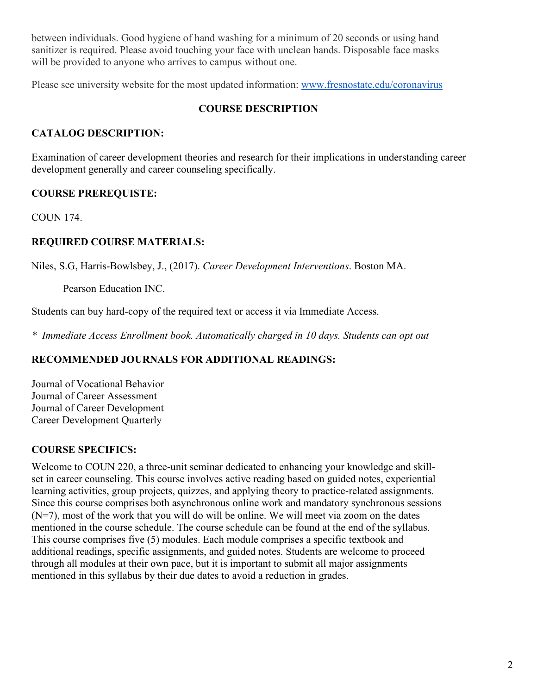between individuals. Good hygiene of hand washing for a minimum of 20 seconds or using hand sanitizer is required. Please avoid touching your face with unclean hands. Disposable face masks will be provided to anyone who arrives to campus without one.

Please see university website for the most updated information: [www.fresnostate.edu/coronavirus](http://www.fresnostate.edu/coronavirus)

#### **COURSE DESCRIPTION**

#### **CATALOG DESCRIPTION:**

Examination of career development theories and research for their implications in understanding career development generally and career counseling specifically.

#### **COURSE PREREQUISTE:**

COUN 174.

#### **REQUIRED COURSE MATERIALS:**

Niles, S.G, Harris-Bowlsbey, J., (2017). *Career Development Interventions*. Boston MA.

Pearson Education INC.

Students can buy hard-copy of the required text or access it via Immediate Access.

*\* Immediate Access Enrollment book. Automatically charged in 10 days. Students can opt out*

#### **RECOMMENDED JOURNALS FOR ADDITIONAL READINGS:**

Journal of Vocational Behavior Journal of Career Assessment Journal of Career Development Career Development Quarterly

## **COURSE SPECIFICS:**

Welcome to COUN 220, a three-unit seminar dedicated to enhancing your knowledge and skillset in career counseling. This course involves active reading based on guided notes, experiential learning activities, group projects, quizzes, and applying theory to practice-related assignments. Since this course comprises both asynchronous online work and mandatory synchronous sessions (N=7), most of the work that you will do will be online. We will meet via zoom on the dates mentioned in the course schedule. The course schedule can be found at the end of the syllabus. This course comprises five (5) modules. Each module comprises a specific textbook and additional readings, specific assignments, and guided notes. Students are welcome to proceed through all modules at their own pace, but it is important to submit all major assignments mentioned in this syllabus by their due dates to avoid a reduction in grades.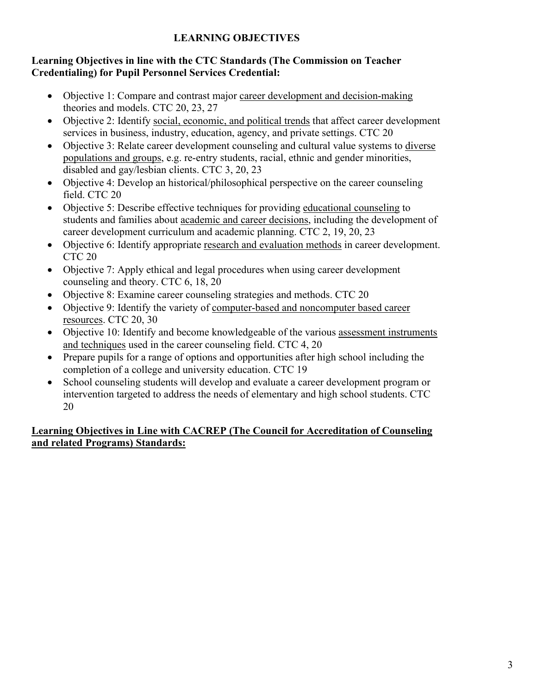## **LEARNING OBJECTIVES**

#### **Learning Objectives in line with the CTC Standards (The Commission on Teacher Credentialing) for Pupil Personnel Services Credential:**

- Objective 1: Compare and contrast major career development and decision-making theories and models. CTC 20, 23, 27
- Objective 2: Identify social, economic, and political trends that affect career development services in business, industry, education, agency, and private settings. CTC 20
- Objective 3: Relate career development counseling and cultural value systems to diverse populations and groups, e.g. re-entry students, racial, ethnic and gender minorities, disabled and gay/lesbian clients. CTC 3, 20, 23
- Objective 4: Develop an historical/philosophical perspective on the career counseling field. CTC 20
- Objective 5: Describe effective techniques for providing educational counseling to students and families about academic and career decisions, including the development of career development curriculum and academic planning. CTC 2, 19, 20, 23
- Objective 6: Identify appropriate research and evaluation methods in career development. CTC 20
- Objective 7: Apply ethical and legal procedures when using career development counseling and theory. CTC 6, 18, 20
- Objective 8: Examine career counseling strategies and methods. CTC 20
- Objective 9: Identify the variety of computer-based and noncomputer based career resources. CTC 20, 30
- Objective 10: Identify and become knowledgeable of the various assessment instruments and techniques used in the career counseling field. CTC 4, 20
- Prepare pupils for a range of options and opportunities after high school including the completion of a college and university education. CTC 19
- School counseling students will develop and evaluate a career development program or intervention targeted to address the needs of elementary and high school students. CTC 20

# **Learning Objectives in Line with CACREP (The Council for Accreditation of Counseling and related Programs) Standards:**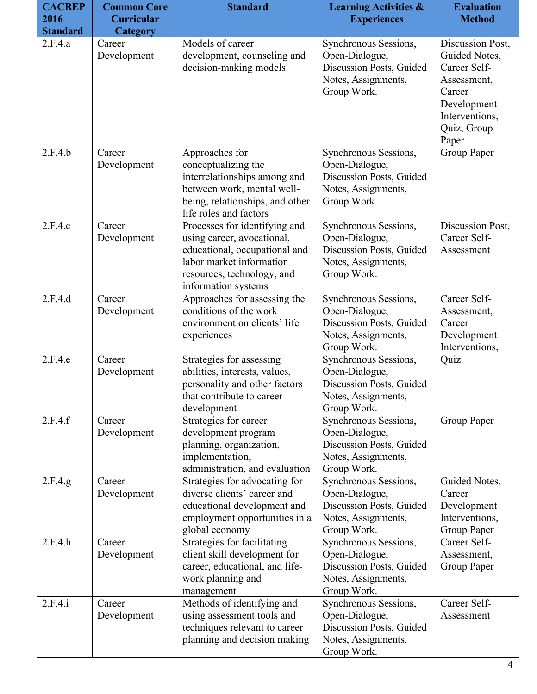| <b>CACREP</b><br>2016 | <b>Common Core</b><br><b>Curricular</b> | <b>Standard</b>                                                                                                                                                               | <b>Learning Activities &amp;</b><br><b>Experiences</b>                                                    | <b>Evaluation</b><br><b>Method</b>                                                                                                  |
|-----------------------|-----------------------------------------|-------------------------------------------------------------------------------------------------------------------------------------------------------------------------------|-----------------------------------------------------------------------------------------------------------|-------------------------------------------------------------------------------------------------------------------------------------|
| <b>Standard</b>       | <b>Category</b>                         |                                                                                                                                                                               |                                                                                                           |                                                                                                                                     |
| 2.F.4.a               | Career<br>Development                   | Models of career<br>development, counseling and<br>decision-making models                                                                                                     | Synchronous Sessions,<br>Open-Dialogue,<br>Discussion Posts, Guided<br>Notes, Assignments,<br>Group Work. | Discussion Post,<br>Guided Notes,<br>Career Self-<br>Assessment,<br>Career<br>Development<br>Interventions,<br>Quiz, Group<br>Paper |
| 2.F.4.b               | Career<br>Development                   | Approaches for<br>conceptualizing the<br>interrelationships among and<br>between work, mental well-<br>being, relationships, and other<br>life roles and factors              | Synchronous Sessions,<br>Open-Dialogue,<br>Discussion Posts, Guided<br>Notes, Assignments,<br>Group Work. | Group Paper                                                                                                                         |
| 2.F.4.c               | Career<br>Development                   | Processes for identifying and<br>using career, avocational,<br>educational, occupational and<br>labor market information<br>resources, technology, and<br>information systems | Synchronous Sessions,<br>Open-Dialogue,<br>Discussion Posts, Guided<br>Notes, Assignments,<br>Group Work. | Discussion Post,<br>Career Self-<br>Assessment                                                                                      |
| 2.F.4.d               | Career<br>Development                   | Approaches for assessing the<br>conditions of the work<br>environment on clients' life<br>experiences                                                                         | Synchronous Sessions,<br>Open-Dialogue,<br>Discussion Posts, Guided<br>Notes, Assignments,<br>Group Work. | Career Self-<br>Assessment,<br>Career<br>Development<br>Interventions,                                                              |
| 2.F.4.e               | Career<br>Development                   | Strategies for assessing<br>abilities, interests, values,<br>personality and other factors<br>that contribute to career<br>development                                        | Synchronous Sessions,<br>Open-Dialogue,<br>Discussion Posts, Guided<br>Notes, Assignments,<br>Group Work. | Quiz                                                                                                                                |
| 2.F.4.f               | Career<br>Development                   | Strategies for career<br>development program<br>planning, organization,<br>implementation,<br>administration, and evaluation                                                  | Synchronous Sessions,<br>Open-Dialogue,<br>Discussion Posts, Guided<br>Notes, Assignments,<br>Group Work. | Group Paper                                                                                                                         |
| 2.F.4.g.              | Career<br>Development                   | Strategies for advocating for<br>diverse clients' career and<br>educational development and<br>employment opportunities in a<br>global economy                                | Synchronous Sessions,<br>Open-Dialogue,<br>Discussion Posts, Guided<br>Notes, Assignments,<br>Group Work. | Guided Notes,<br>Career<br>Development<br>Interventions,<br>Group Paper                                                             |
| 2.F.4.h               | Career<br>Development                   | Strategies for facilitating<br>client skill development for<br>career, educational, and life-<br>work planning and<br>management                                              | Synchronous Sessions,<br>Open-Dialogue,<br>Discussion Posts, Guided<br>Notes, Assignments,<br>Group Work. | Career Self-<br>Assessment,<br>Group Paper                                                                                          |
| 2.F.4.i               | Career<br>Development                   | Methods of identifying and<br>using assessment tools and<br>techniques relevant to career<br>planning and decision making                                                     | Synchronous Sessions,<br>Open-Dialogue,<br>Discussion Posts, Guided<br>Notes, Assignments,<br>Group Work. | Career Self-<br>Assessment                                                                                                          |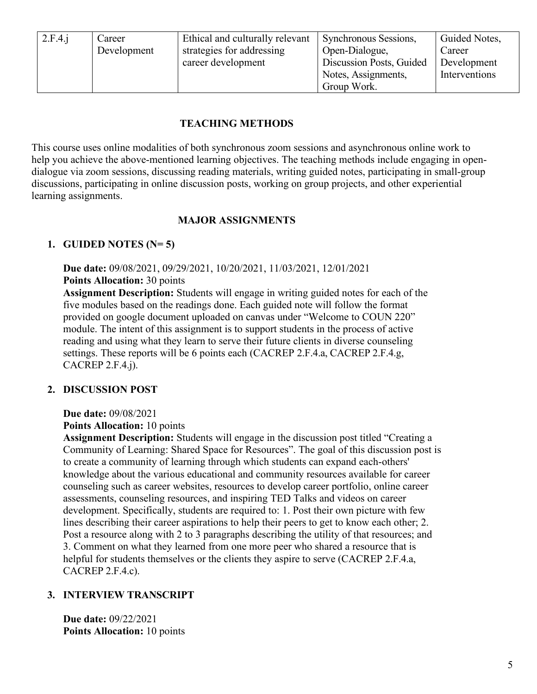| 2.F.4.i | Career      | Ethical and culturally relevant | Synchronous Sessions,    | Guided Notes, |
|---------|-------------|---------------------------------|--------------------------|---------------|
|         | Development | strategies for addressing       | Open-Dialogue,           | Career        |
|         |             | career development              | Discussion Posts, Guided | Development   |
|         |             |                                 | Notes, Assignments,      | Interventions |
|         |             |                                 | Group Work.              |               |

#### **TEACHING METHODS**

This course uses online modalities of both synchronous zoom sessions and asynchronous online work to help you achieve the above-mentioned learning objectives. The teaching methods include engaging in opendialogue via zoom sessions, discussing reading materials, writing guided notes, participating in small-group discussions, participating in online discussion posts, working on group projects, and other experiential learning assignments.

#### **MAJOR ASSIGNMENTS**

#### **1. GUIDED NOTES (N= 5)**

**Due date:** 09/08/2021, 09/29/2021, 10/20/2021, 11/03/2021, 12/01/2021 **Points Allocation:** 30 points

**Assignment Description:** Students will engage in writing guided notes for each of the five modules based on the readings done. Each guided note will follow the format provided on google document uploaded on canvas under "Welcome to COUN 220" module. The intent of this assignment is to support students in the process of active reading and using what they learn to serve their future clients in diverse counseling settings. These reports will be 6 points each (CACREP 2.F.4.a, CACREP 2.F.4.g, CACREP 2.F.4.j).

#### **2. DISCUSSION POST**

#### **Due date:** 09/08/2021

**Points Allocation:** 10 points

**Assignment Description:** Students will engage in the discussion post titled "Creating a Community of Learning: Shared Space for Resources". The goal of this discussion post is to create a community of learning through which students can expand each-others' knowledge about the various educational and community resources available for career counseling such as career websites, resources to develop career portfolio, online career assessments, counseling resources, and inspiring TED Talks and videos on career development. Specifically, students are required to: 1. Post their own picture with few lines describing their career aspirations to help their peers to get to know each other; 2. Post a resource along with 2 to 3 paragraphs describing the utility of that resources; and 3. Comment on what they learned from one more peer who shared a resource that is helpful for students themselves or the clients they aspire to serve (CACREP 2.F.4.a, CACREP 2.F.4.c).

#### **3. INTERVIEW TRANSCRIPT**

**Due date:** 09/22/2021 **Points Allocation:** 10 points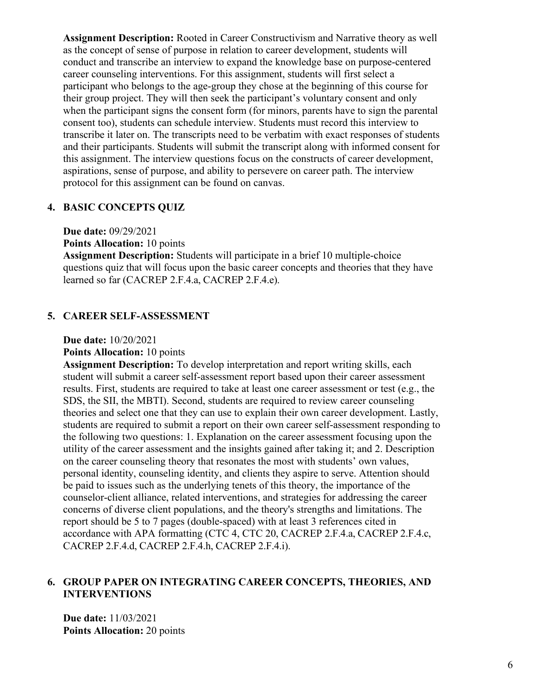**Assignment Description:** Rooted in Career Constructivism and Narrative theory as well as the concept of sense of purpose in relation to career development, students will conduct and transcribe an interview to expand the knowledge base on purpose-centered career counseling interventions. For this assignment, students will first select a participant who belongs to the age-group they chose at the beginning of this course for their group project. They will then seek the participant's voluntary consent and only when the participant signs the consent form (for minors, parents have to sign the parental consent too), students can schedule interview. Students must record this interview to transcribe it later on. The transcripts need to be verbatim with exact responses of students and their participants. Students will submit the transcript along with informed consent for this assignment. The interview questions focus on the constructs of career development, aspirations, sense of purpose, and ability to persevere on career path. The interview protocol for this assignment can be found on canvas.

#### **4. BASIC CONCEPTS QUIZ**

**Due date:** 09/29/2021

**Points Allocation:** 10 points

**Assignment Description:** Students will participate in a brief 10 multiple-choice questions quiz that will focus upon the basic career concepts and theories that they have learned so far (CACREP 2.F.4.a, CACREP 2.F.4.e).

#### **5. CAREER SELF-ASSESSMENT**

**Due date:** 10/20/2021

**Points Allocation:** 10 points

**Assignment Description:** To develop interpretation and report writing skills, each student will submit a career self-assessment report based upon their career assessment results. First, students are required to take at least one career assessment or test (e.g., the SDS, the SII, the MBTI). Second, students are required to review career counseling theories and select one that they can use to explain their own career development. Lastly, students are required to submit a report on their own career self-assessment responding to the following two questions: 1. Explanation on the career assessment focusing upon the utility of the career assessment and the insights gained after taking it; and 2. Description on the career counseling theory that resonates the most with students' own values, personal identity, counseling identity, and clients they aspire to serve. Attention should be paid to issues such as the underlying tenets of this theory, the importance of the counselor-client alliance, related interventions, and strategies for addressing the career concerns of diverse client populations, and the theory's strengths and limitations. The report should be 5 to 7 pages (double-spaced) with at least 3 references cited in accordance with APA formatting (CTC 4, CTC 20, CACREP 2.F.4.a, CACREP 2.F.4.c, CACREP 2.F.4.d, CACREP 2.F.4.h, CACREP 2.F.4.i).

#### **6. GROUP PAPER ON INTEGRATING CAREER CONCEPTS, THEORIES, AND INTERVENTIONS**

**Due date:** 11/03/2021 **Points Allocation:** 20 points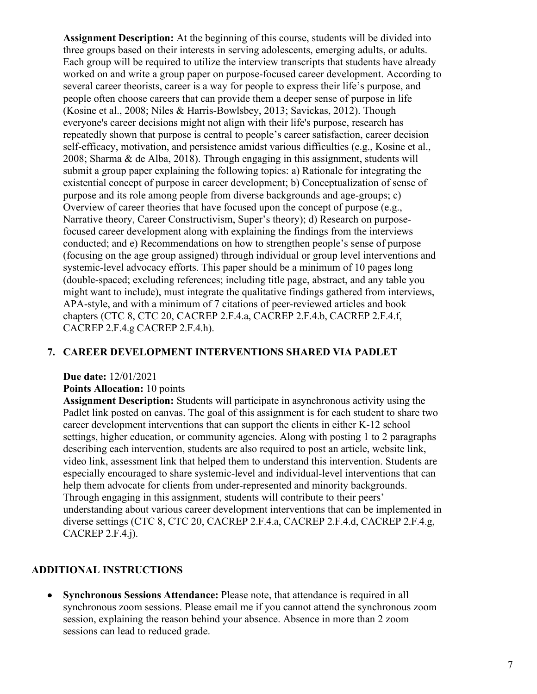**Assignment Description:** At the beginning of this course, students will be divided into three groups based on their interests in serving adolescents, emerging adults, or adults. Each group will be required to utilize the interview transcripts that students have already worked on and write a group paper on purpose-focused career development. According to several career theorists, career is a way for people to express their life's purpose, and people often choose careers that can provide them a deeper sense of purpose in life (Kosine et al., 2008; Niles & Harris-Bowlsbey, 2013; Savickas, 2012). Though everyone's career decisions might not align with their life's purpose, research has repeatedly shown that purpose is central to people's career satisfaction, career decision self-efficacy, motivation, and persistence amidst various difficulties (e.g., Kosine et al., 2008; Sharma & de Alba, 2018). Through engaging in this assignment, students will submit a group paper explaining the following topics: a) Rationale for integrating the existential concept of purpose in career development; b) Conceptualization of sense of purpose and its role among people from diverse backgrounds and age-groups; c) Overview of career theories that have focused upon the concept of purpose (e.g., Narrative theory, Career Constructivism, Super's theory); d) Research on purposefocused career development along with explaining the findings from the interviews conducted; and e) Recommendations on how to strengthen people's sense of purpose (focusing on the age group assigned) through individual or group level interventions and systemic-level advocacy efforts. This paper should be a minimum of 10 pages long (double-spaced; excluding references; including title page, abstract, and any table you might want to include), must integrate the qualitative findings gathered from interviews, APA-style, and with a minimum of 7 citations of peer-reviewed articles and book chapters (CTC 8, CTC 20, CACREP 2.F.4.a, CACREP 2.F.4.b, CACREP 2.F.4.f, CACREP 2.F.4.g CACREP 2.F.4.h).

#### **7. CAREER DEVELOPMENT INTERVENTIONS SHARED VIA PADLET**

#### **Due date:** 12/01/2021

#### **Points Allocation:** 10 points

**Assignment Description:** Students will participate in asynchronous activity using the Padlet link posted on canvas. The goal of this assignment is for each student to share two career development interventions that can support the clients in either K-12 school settings, higher education, or community agencies. Along with posting 1 to 2 paragraphs describing each intervention, students are also required to post an article, website link, video link, assessment link that helped them to understand this intervention. Students are especially encouraged to share systemic-level and individual-level interventions that can help them advocate for clients from under-represented and minority backgrounds. Through engaging in this assignment, students will contribute to their peers' understanding about various career development interventions that can be implemented in diverse settings (CTC 8, CTC 20, CACREP 2.F.4.a, CACREP 2.F.4.d, CACREP 2.F.4.g, CACREP 2.F.4.j).

#### **ADDITIONAL INSTRUCTIONS**

• **Synchronous Sessions Attendance:** Please note, that attendance is required in all synchronous zoom sessions. Please email me if you cannot attend the synchronous zoom session, explaining the reason behind your absence. Absence in more than 2 zoom sessions can lead to reduced grade.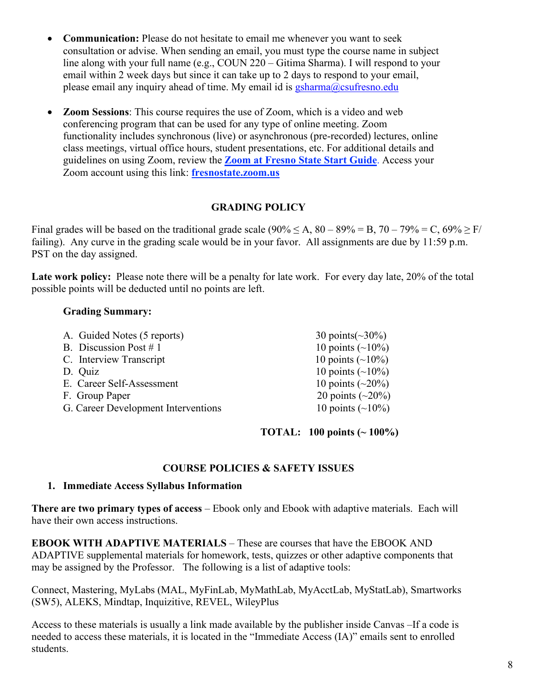- **Communication:** Please do not hesitate to email me whenever you want to seek consultation or advise. When sending an email, you must type the course name in subject line along with your full name (e.g., COUN 220 – Gitima Sharma). I will respond to your email within 2 week days but since it can take up to 2 days to respond to your email, please email any inquiry ahead of time. My email id is [gsharma@csufresno.edu](mailto:gsharma@csufresno.edu)
- **Zoom Sessions**: This course requires the use of Zoom, which is a video and web conferencing program that can be used for any type of online meeting. Zoom functionality includes synchronous (live) or asynchronous (pre-recorded) lectures, online class meetings, virtual office hours, student presentations, etc. For additional details and guidelines on using Zoom, review the **[Zoom at Fresno State Start Guide](https://docs.google.com/document/d/1v_i9yy_5uvVod4xEKfAl4t6ietclLJ0Grw3Npdokro0/edit?usp=sharing)**. Access your Zoom account using this link: **[fresnostate.zoom.us](http://fresnostate.zoom.us/)**

#### **GRADING POLICY**

Final grades will be based on the traditional grade scale  $(90\% \le A, 80 - 89\% = B, 70 - 79\% = C, 69\% \ge F/$ failing). Any curve in the grading scale would be in your favor. All assignments are due by 11:59 p.m. PST on the day assigned.

Late work policy: Please note there will be a penalty for late work. For every day late, 20% of the total possible points will be deducted until no points are left.

#### **Grading Summary:**

| A. Guided Notes (5 reports)         | 30 points $({}_{\sim}30\%)$ |
|-------------------------------------|-----------------------------|
| B. Discussion Post $# 1$            | 10 points $(\sim 10\%)$     |
| C. Interview Transcript             | 10 points $(\sim 10\%)$     |
| D. Quiz                             | 10 points $(\sim 10\%)$     |
| E. Career Self-Assessment           | 10 points $({\sim}20\%)$    |
| F. Group Paper                      | 20 points $({\sim}20\%)$    |
| G. Career Development Interventions | 10 points $({\sim}10\%)$    |
|                                     |                             |

#### **TOTAL: 100 points (~ 100%)**

#### **COURSE POLICIES & SAFETY ISSUES**

#### **1. Immediate Access Syllabus Information**

**There are two primary types of access** – Ebook only and Ebook with adaptive materials. Each will have their own access instructions.

**EBOOK WITH ADAPTIVE MATERIALS** – These are courses that have the EBOOK AND ADAPTIVE supplemental materials for homework, tests, quizzes or other adaptive components that may be assigned by the Professor. The following is a list of adaptive tools:

Connect, Mastering, MyLabs (MAL, MyFinLab, MyMathLab, MyAcctLab, MyStatLab), Smartworks (SW5), ALEKS, Mindtap, Inquizitive, REVEL, WileyPlus

Access to these materials is usually a link made available by the publisher inside Canvas –If a code is needed to access these materials, it is located in the "Immediate Access (IA)" emails sent to enrolled students.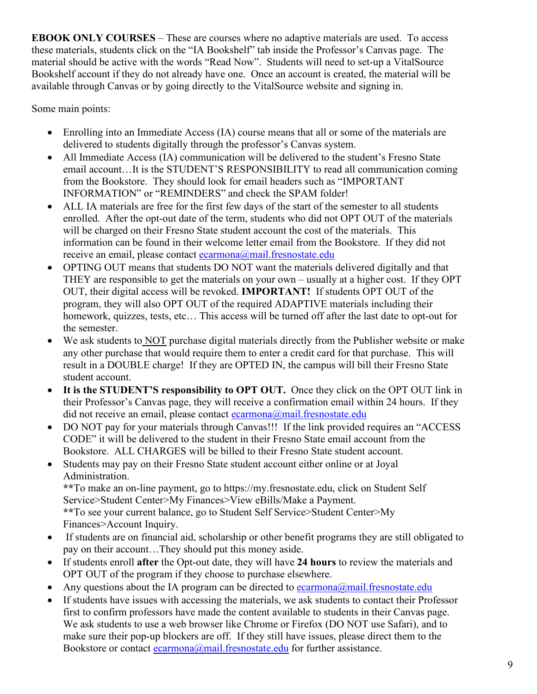**EBOOK ONLY COURSES** – These are courses where no adaptive materials are used. To access these materials, students click on the "IA Bookshelf" tab inside the Professor's Canvas page. The material should be active with the words "Read Now". Students will need to set-up a VitalSource Bookshelf account if they do not already have one. Once an account is created, the material will be available through Canvas or by going directly to the VitalSource website and signing in.

Some main points:

- Enrolling into an Immediate Access (IA) course means that all or some of the materials are delivered to students digitally through the professor's Canvas system.
- All Immediate Access (IA) communication will be delivered to the student's Fresno State email account…It is the STUDENT'S RESPONSIBILITY to read all communication coming from the Bookstore. They should look for email headers such as "IMPORTANT INFORMATION" or "REMINDERS" and check the SPAM folder!
- ALL IA materials are free for the first few days of the start of the semester to all students enrolled. After the opt-out date of the term, students who did not OPT OUT of the materials will be charged on their Fresno State student account the cost of the materials. This information can be found in their welcome letter email from the Bookstore. If they did not receive an email, please contact [ecarmona@mail.fresnostate.edu](mailto:ecarmona@mail.fresnostate.edu)
- OPTING OUT means that students DO NOT want the materials delivered digitally and that THEY are responsible to get the materials on your own – usually at a higher cost. If they OPT OUT, their digital access will be revoked. **IMPORTANT!** If students OPT OUT of the program, they will also OPT OUT of the required ADAPTIVE materials including their homework, quizzes, tests, etc... This access will be turned off after the last date to opt-out for the semester.
- We ask students to NOT purchase digital materials directly from the Publisher website or make any other purchase that would require them to enter a credit card for that purchase. This will result in a DOUBLE charge! If they are OPTED IN, the campus will bill their Fresno State student account.
- **It is the STUDENT'S responsibility to OPT OUT.** Once they click on the OPT OUT link in their Professor's Canvas page, they will receive a confirmation email within 24 hours. If they did not receive an email, please contact [ecarmona@mail.fresnostate.edu](mailto:ecarmona@mail.fresnostate.edu)
- DO NOT pay for your materials through Canvas!!! If the link provided requires an "ACCESS" CODE" it will be delivered to the student in their Fresno State email account from the Bookstore. ALL CHARGES will be billed to their Fresno State student account.
- Students may pay on their Fresno State student account either online or at Joyal Administration.

**\*\***To make an on-line payment, go to https://my.fresnostate.edu, click on Student Self Service>Student Center>My Finances>View eBills/Make a Payment.

**\*\***To see your current balance, go to Student Self Service>Student Center>My Finances>Account Inquiry.

- If students are on financial aid, scholarship or other benefit programs they are still obligated to pay on their account…They should put this money aside.
- If students enroll **after** the Opt-out date, they will have **24 hours** to review the materials and OPT OUT of the program if they choose to purchase elsewhere.
- Any questions about the IA program can be directed to [ecarmona@mail.fresnostate.edu](mailto:ecarmona@mail.fresnostate.edu)
- If students have issues with accessing the materials, we ask students to contact their Professor first to confirm professors have made the content available to students in their Canvas page. We ask students to use a web browser like Chrome or Firefox (DO NOT use Safari), and to make sure their pop-up blockers are off. If they still have issues, please direct them to the Bookstore or contact [ecarmona@mail.fresnostate.edu](mailto:ecarmona@mail.fresnostate.edu) for further assistance.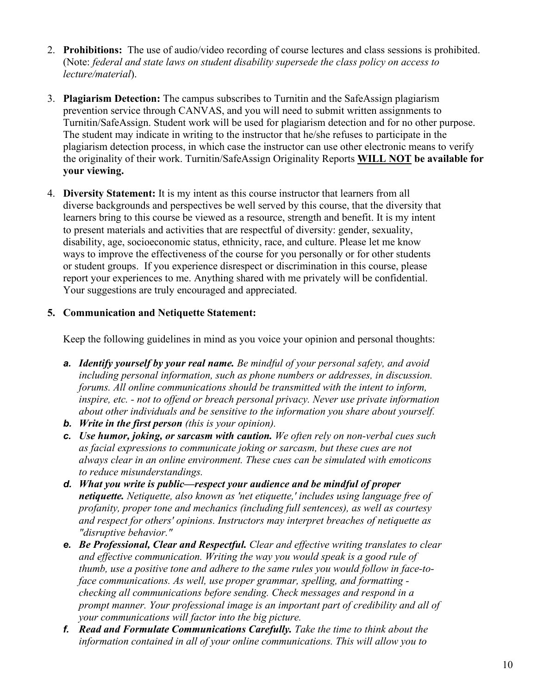- 2. **Prohibitions:** The use of audio/video recording of course lectures and class sessions is prohibited. (Note: *federal and state laws on student disability supersede the class policy on access to lecture/material*).
- 3. **Plagiarism Detection:** The campus subscribes to Turnitin and the SafeAssign plagiarism prevention service through CANVAS, and you will need to submit written assignments to Turnitin/SafeAssign. Student work will be used for plagiarism detection and for no other purpose. The student may indicate in writing to the instructor that he/she refuses to participate in the plagiarism detection process, in which case the instructor can use other electronic means to verify the originality of their work. Turnitin/SafeAssign Originality Reports **WILL NOT be available for your viewing.**
- 4. **Diversity Statement:** It is my intent as this course instructor that learners from all diverse backgrounds and perspectives be well served by this course, that the diversity that learners bring to this course be viewed as a resource, strength and benefit. It is my intent to present materials and activities that are respectful of diversity: gender, sexuality, disability, age, socioeconomic status, ethnicity, race, and culture. Please let me know ways to improve the effectiveness of the course for you personally or for other students or student groups. If you experience disrespect or discrimination in this course, please report your experiences to me. Anything shared with me privately will be confidential. Your suggestions are truly encouraged and appreciated.

#### **5. Communication and Netiquette Statement:**

Keep the following guidelines in mind as you voice your opinion and personal thoughts:

- *a. Identify yourself by your real name. Be mindful of your personal safety, and avoid including personal information, such as phone numbers or addresses, in discussion. forums. All online communications should be transmitted with the intent to inform, inspire, etc. - not to offend or breach personal privacy. Never use private information about other individuals and be sensitive to the information you share about yourself.*
- *b. Write in the first person (this is your opinion).*
- *c. Use humor, joking, or sarcasm with caution. We often rely on non-verbal cues such as facial expressions to communicate joking or sarcasm, but these cues are not always clear in an online environment. These cues can be simulated with emoticons to reduce misunderstandings.*
- *d. What you write is public—respect your audience and be mindful of proper netiquette. Netiquette, also known as 'net etiquette,' includes using language free of profanity, proper tone and mechanics (including full sentences), as well as courtesy and respect for others' opinions. Instructors may interpret breaches of netiquette as "disruptive behavior."*
- *e. Be Professional, Clear and Respectful. Clear and effective writing translates to clear and effective communication. Writing the way you would speak is a good rule of thumb, use a positive tone and adhere to the same rules you would follow in face-toface communications. As well, use proper grammar, spelling, and formatting checking all communications before sending. Check messages and respond in a prompt manner. Your professional image is an important part of credibility and all of your communications will factor into the big picture.*
- *f. Read and Formulate Communications Carefully. Take the time to think about the information contained in all of your online communications. This will allow you to*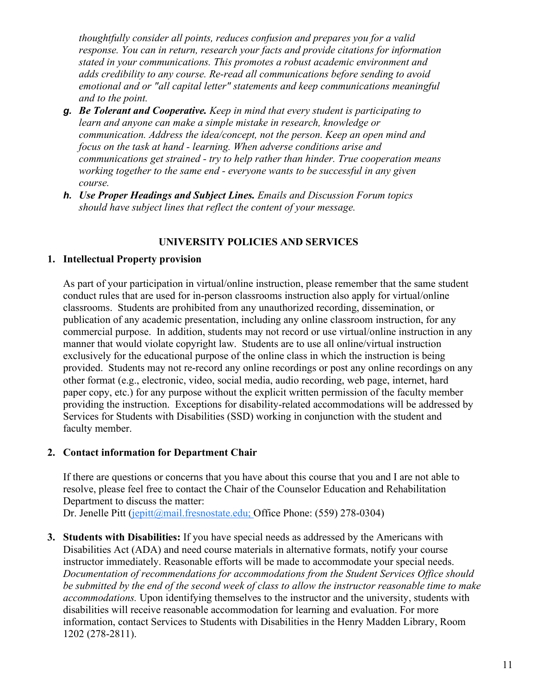*thoughtfully consider all points, reduces confusion and prepares you for a valid response. You can in return, research your facts and provide citations for information stated in your communications. This promotes a robust academic environment and adds credibility to any course. Re-read all communications before sending to avoid emotional and or "all capital letter" statements and keep communications meaningful and to the point.*

- *g. Be Tolerant and Cooperative. Keep in mind that every student is participating to learn and anyone can make a simple mistake in research, knowledge or communication. Address the idea/concept, not the person. Keep an open mind and focus on the task at hand - learning. When adverse conditions arise and communications get strained - try to help rather than hinder. True cooperation means working together to the same end - everyone wants to be successful in any given course.*
- *h. Use Proper Headings and Subject Lines. Emails and Discussion Forum topics should have subject lines that reflect the content of your message.*

#### **UNIVERSITY POLICIES AND SERVICES**

#### **1. Intellectual Property provision**

As part of your participation in virtual/online instruction, please remember that the same student conduct rules that are used for in-person classrooms instruction also apply for virtual/online classrooms. Students are prohibited from any unauthorized recording, dissemination, or publication of any academic presentation, including any online classroom instruction, for any commercial purpose. In addition, students may not record or use virtual/online instruction in any manner that would violate copyright law. Students are to use all online/virtual instruction exclusively for the educational purpose of the online class in which the instruction is being provided. Students may not re-record any online recordings or post any online recordings on any other format (e.g., electronic, video, social media, audio recording, web page, internet, hard paper copy, etc.) for any purpose without the explicit written permission of the faculty member providing the instruction. Exceptions for disability-related accommodations will be addressed by Services for Students with Disabilities (SSD) working in conjunction with the student and faculty member.

#### **2. Contact information for Department Chair**

If there are questions or concerns that you have about this course that you and I are not able to resolve, please feel free to contact the Chair of the Counselor Education and Rehabilitation Department to discuss the matter:

Dr. Jenelle Pitt [\(jepitt@mail.fresnostate.edu;](mailto:jepitt@mail.fresnostate.edu) Office Phone: (559) 278-0304)

**3. Students with Disabilities:** If you have special needs as addressed by the Americans with Disabilities Act (ADA) and need course materials in alternative formats, notify your course instructor immediately. Reasonable efforts will be made to accommodate your special needs. *Documentation of recommendations for accommodations from the Student Services Office should be submitted by the end of the second week of class to allow the instructor reasonable time to make accommodations.* Upon identifying themselves to the instructor and the university, students with disabilities will receive reasonable accommodation for learning and evaluation. For more information, contact Services to Students with Disabilities in the Henry Madden Library, Room 1202 (278-2811).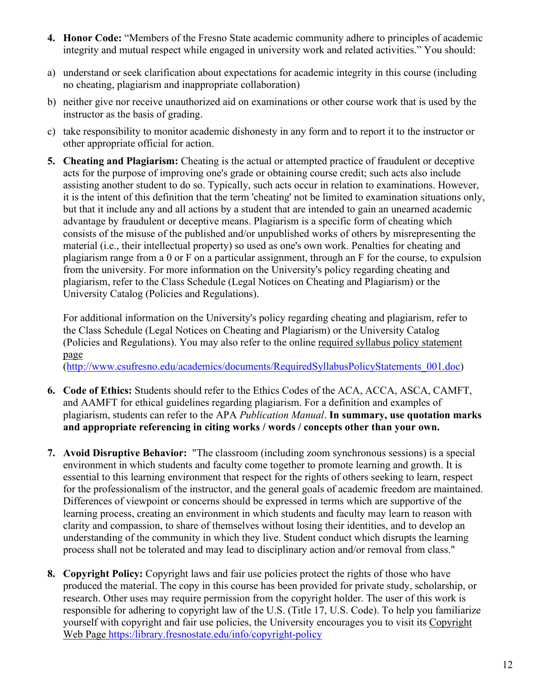- **4. Honor Code:** "Members of the Fresno State academic community adhere to principles of academic integrity and mutual respect while engaged in university work and related activities." You should:
- a) understand or seek clarification about expectations for academic integrity in this course (including no cheating, plagiarism and inappropriate collaboration)
- b) neither give nor receive unauthorized aid on examinations or other course work that is used by the instructor as the basis of grading.
- c) take responsibility to monitor academic dishonesty in any form and to report it to the instructor or other appropriate official for action.
- **5. Cheating and Plagiarism:** Cheating is the actual or attempted practice of fraudulent or deceptive acts for the purpose of improving one's grade or obtaining course credit; such acts also include assisting another student to do so. Typically, such acts occur in relation to examinations. However, it is the intent of this definition that the term 'cheating' not be limited to examination situations only, but that it include any and all actions by a student that are intended to gain an unearned academic advantage by fraudulent or deceptive means. Plagiarism is a specific form of cheating which consists of the misuse of the published and/or unpublished works of others by misrepresenting the material (i.e., their intellectual property) so used as one's own work. Penalties for cheating and plagiarism range from a 0 or F on a particular assignment, through an F for the course, to expulsion from the university. For more information on the University's policy regarding cheating and plagiarism, refer to the Class Schedule (Legal Notices on Cheating and Plagiarism) or the University Catalog (Policies and Regulations).

For additional information on the University's policy regarding cheating and plagiarism, refer to the Class Schedule (Legal Notices on Cheating and Plagiarism) or the University Catalog (Policies and Regulations). You may also refer to the online [required syllabus policy statement](http://www.csufresno.edu/academics/documents/RequiredSyllabusPolicyStatements_001.doc)  [page](http://www.csufresno.edu/academics/documents/RequiredSyllabusPolicyStatements_001.doc)

[\(http://www.csufresno.edu/academics/documents/RequiredSyllabusPolicyStatements\\_001.doc\)](http://www.csufresno.edu/academics/documents/RequiredSyllabusPolicyStatements_001.doc)

- **6. Code of Ethics:** Students should refer to the Ethics Codes of the ACA, ACCA, ASCA, CAMFT, and AAMFT for ethical guidelines regarding plagiarism. For a definition and examples of plagiarism, students can refer to the APA *Publication Manual*. **In summary, use quotation marks and appropriate referencing in citing works / words / concepts other than your own.**
- **7. Avoid Disruptive Behavior:** "The classroom (including zoom synchronous sessions) is a special environment in which students and faculty come together to promote learning and growth. It is essential to this learning environment that respect for the rights of others seeking to learn, respect for the professionalism of the instructor, and the general goals of academic freedom are maintained. Differences of viewpoint or concerns should be expressed in terms which are supportive of the learning process, creating an environment in which students and faculty may learn to reason with clarity and compassion, to share of themselves without losing their identities, and to develop an understanding of the community in which they live. Student conduct which disrupts the learning process shall not be tolerated and may lead to disciplinary action and/or removal from class."
- **8. Copyright Policy:** Copyright laws and fair use policies protect the rights of those who have produced the material. The copy in this course has been provided for private study, scholarship, or research. Other uses may require permission from the copyright holder. The user of this work is responsible for adhering to copyright law of the U.S. (Title 17, U.S. Code). To help you familiarize yourself with copyright and fair use policies, the University encourages you to visit its [Copyright](http://libguides.csufresno.edu/copyright)  [Web Page](http://libguides.csufresno.edu/copyright) [https:/library.fresnostate.edu/info/copyright-policy](https://library.fresnostate.edu/info/copyright-policy)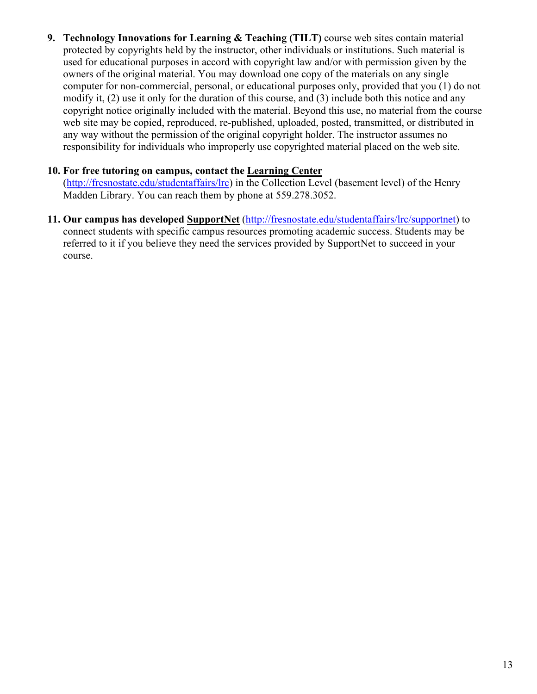**9. Technology Innovations for Learning & Teaching (TILT)** course web sites contain material protected by copyrights held by the instructor, other individuals or institutions. Such material is used for educational purposes in accord with copyright law and/or with permission given by the owners of the original material. You may download one copy of the materials on any single computer for non-commercial, personal, or educational purposes only, provided that you (1) do not modify it, (2) use it only for the duration of this course, and (3) include both this notice and any copyright notice originally included with the material. Beyond this use, no material from the course web site may be copied, reproduced, re-published, uploaded, posted, transmitted, or distributed in any way without the permission of the original copyright holder. The instructor assumes no responsibility for individuals who improperly use copyrighted material placed on the web site.

#### **10. For free tutoring on campus, contact the [Learning Center](http://www.fresnostate.edu/learningcenter)**

[\(http://fresnostate.edu/studentaffairs/lrc\)](http://fresnostate.edu/studentaffairs/lrc) in the Collection Level (basement level) of the Henry Madden Library. You can reach them by phone at 559.278.3052.

**11. Our campus has developed [SupportNet](http://fresnostate.edu/studentaffairs/lrc/supportnet/)** [\(http://fresnostate.edu/studentaffairs/lrc/supportnet\)](http://fresnostate.edu/studentaffairs/lrc/supportnet) to connect students with specific campus resources promoting academic success. Students may be referred to it if you believe they need the services provided by SupportNet to succeed in your course.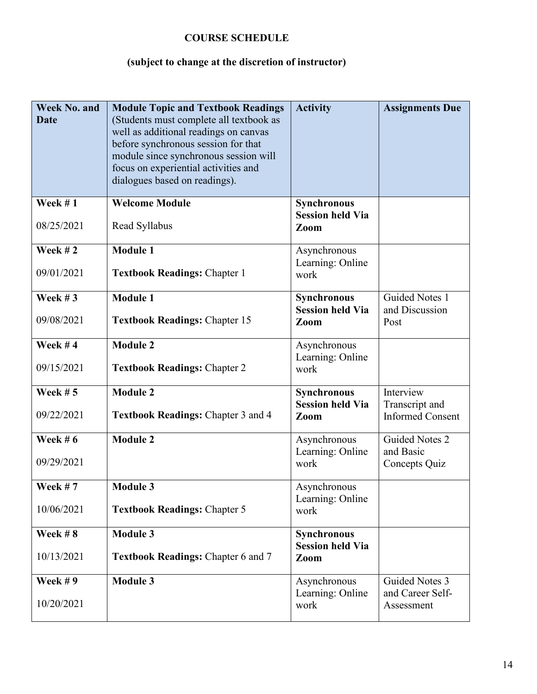# **COURSE SCHEDULE**

# **(subject to change at the discretion of instructor)**

| <b>Week No. and</b><br><b>Date</b> | <b>Module Topic and Textbook Readings</b><br>(Students must complete all textbook as<br>well as additional readings on canvas<br>before synchronous session for that<br>module since synchronous session will<br>focus on experiential activities and<br>dialogues based on readings). | <b>Activity</b>                                | <b>Assignments Due</b>                                 |
|------------------------------------|----------------------------------------------------------------------------------------------------------------------------------------------------------------------------------------------------------------------------------------------------------------------------------------|------------------------------------------------|--------------------------------------------------------|
| Week $# 1$<br>08/25/2021           | <b>Welcome Module</b><br>Read Syllabus                                                                                                                                                                                                                                                 | Synchronous<br><b>Session held Via</b><br>Zoom |                                                        |
| Week #2<br>09/01/2021              | <b>Module 1</b><br><b>Textbook Readings: Chapter 1</b>                                                                                                                                                                                                                                 | Asynchronous<br>Learning: Online<br>work       |                                                        |
| Week $#3$<br>09/08/2021            | <b>Module 1</b><br><b>Textbook Readings: Chapter 15</b>                                                                                                                                                                                                                                | Synchronous<br><b>Session held Via</b><br>Zoom | <b>Guided Notes 1</b><br>and Discussion<br>Post        |
| Week $#4$<br>09/15/2021            | <b>Module 2</b><br><b>Textbook Readings: Chapter 2</b>                                                                                                                                                                                                                                 | Asynchronous<br>Learning: Online<br>work       |                                                        |
| Week $# 5$<br>09/22/2021           | <b>Module 2</b><br><b>Textbook Readings: Chapter 3 and 4</b>                                                                                                                                                                                                                           | Synchronous<br><b>Session held Via</b><br>Zoom | Interview<br>Transcript and<br><b>Informed Consent</b> |
| Week $# 6$<br>09/29/2021           | <b>Module 2</b>                                                                                                                                                                                                                                                                        | Asynchronous<br>Learning: Online<br>work       | Guided Notes 2<br>and Basic<br>Concepts Quiz           |
| Week $# 7$<br>10/06/2021           | <b>Module 3</b><br><b>Textbook Readings: Chapter 5</b>                                                                                                                                                                                                                                 | Asynchronous<br>Learning: Online<br>work       |                                                        |
| Week $#8$<br>10/13/2021            | <b>Module 3</b><br><b>Textbook Readings: Chapter 6 and 7</b>                                                                                                                                                                                                                           | Synchronous<br><b>Session held Via</b><br>Zoom |                                                        |
| Week $# 9$<br>10/20/2021           | <b>Module 3</b>                                                                                                                                                                                                                                                                        | Asynchronous<br>Learning: Online<br>work       | Guided Notes 3<br>and Career Self-<br>Assessment       |